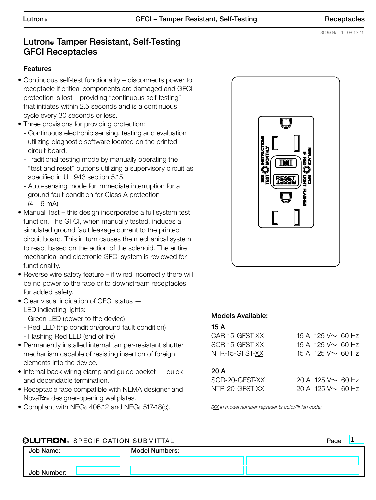# Lutron® Tamper Resistant, Self-Testing GFCI Receptacles

#### Features

- Continuous self-test functionality disconnects power to receptacle if critical components are damaged and GFCI protection is lost – providing "continuous self-testing" that initiates within 2.5 seconds and is a continuous cycle every 30 seconds or less.
- Three provisions for providing protection:
	- Continuous electronic sensing, testing and evaluation utilizing diagnostic software located on the printed circuit board.
	- Traditional testing mode by manually operating the "test and reset" buttons utilizing a supervisory circuit as specified in UL 943 section 5.15.
	- Auto-sensing mode for immediate interruption for a ground fault condition for Class A protection  $(4 - 6$  mA).
- Manual Test this design incorporates a full system test function. The GFCI, when manually tested, induces a simulated ground fault leakage current to the printed circuit board. This in turn causes the mechanical system to react based on the action of the solenoid. The entire mechanical and electronic GFCI system is reviewed for functionality.
- Reverse wire safety feature if wired incorrectly there will be no power to the face or to downstream receptacles for added safety.
- Clear visual indication of GFCI status LED indicating lights:
	- Green LED (power to the device)
	- Red LED (trip condition/ground fault condition)
	- Flashing Red LED (end of life)
- Permanently installed internal tamper-resistant shutter mechanism capable of resisting insertion of foreign elements into the device.
- Internal back wiring clamp and guide pocket quick and dependable termination.
- Receptacle face compatible with NEMA designer and NovaT<sup>\*</sup> designer-opening wallplates.
- Compliant with NEC® 406.12 and NEC® 517-18(c).



## Models Available:

| CAR-15-GFST-XX | 15 A 125 V $\sim$ 60 Hz |  |
|----------------|-------------------------|--|
| SCR-15-GFST-XX | 15 A 125 V $\sim$ 60 Hz |  |
| NTR-15-GFST-XX | 15 A 125 V $\sim$ 60 Hz |  |
|                |                         |  |

## 20 A

| SCR-20-GFST-XX | 20 A 125 V $\sim$ 60 Hz |  |
|----------------|-------------------------|--|
| NTR-20-GFST-XX | 20 A 125 V $\sim$ 60 Hz |  |

*(XX in model number represents color/finish code)*

## **« ELUTRON** SPECIFICATION SUBMITTAL Page **Page Page Page Page Page** Job Name: Job Number: Model Numbers: 1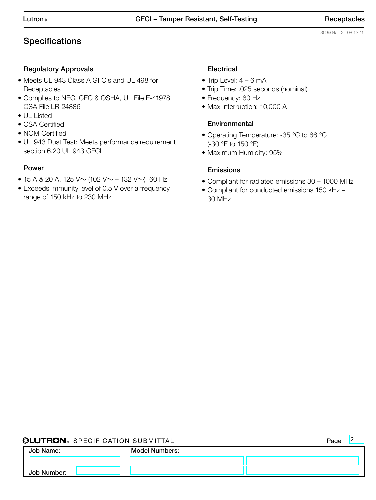<sup>2</sup>

# **Specifications**

#### Regulatory Approvals

- Meets UL 943 Class A GFCIs and UL 498 for **Receptacles**
- Complies to NEC, CEC & OSHA, UL File E-41978, CSA File LR-24886
- UL Listed
- CSA Certified
- NOM Certified
- UL 943 Dust Test: Meets performance requirement section 6.20 UL 943 GFCI

#### Power

- 15 A & 20 A, 125 V $\sim$  (102 V $\sim$  132 V $\sim$ ) 60 Hz
- Exceeds immunity level of 0.5 V over a frequency range of 150 kHz to 230 MHz

## **Electrical**

- Trip Level:  $4 6$  mA
- Trip Time: .025 seconds (nominal)
- Frequency: 60 Hz
- Max Interruption: 10,000 A

#### **Environmental**

- Operating Temperature: -35 °C to 66 °C (-30 °F to 150 °F)
- Maximum Humidity: 95%

#### Emissions

- Compliant for radiated emissions 30 1000 MHz
- Compliant for conducted emissions 150 kHz 30 MHz

#### **« ELUTRON** SPECIFICATION SUBMITTAL Page Page Page **Page Page Page Page Page Page**

| Job Name:   | <b>Model Numbers:</b> |  |
|-------------|-----------------------|--|
|             |                       |  |
| Job Number: |                       |  |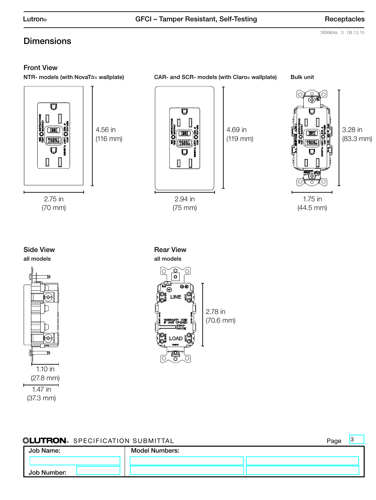369964a 3 08.13.15

# **Dimensions**

#### Front View

NTR- models (with NovaT<sup>★</sup>® wallplate) CAR- and SCR- models (with Claro® wallplate) Bulk unit



(70 mm)



2.94 in (75 mm)

4.69 in (119 mm)



(44.5 mm)

3.28 in (83.3 mm)







| <b><i>SEUTRON</i></b> SPECIFICATION SUBMITTAL | Page |
|-----------------------------------------------|------|
|-----------------------------------------------|------|

3

| Job Name:   | <b>Model Numbers:</b> |  |
|-------------|-----------------------|--|
|             |                       |  |
| Job Number: |                       |  |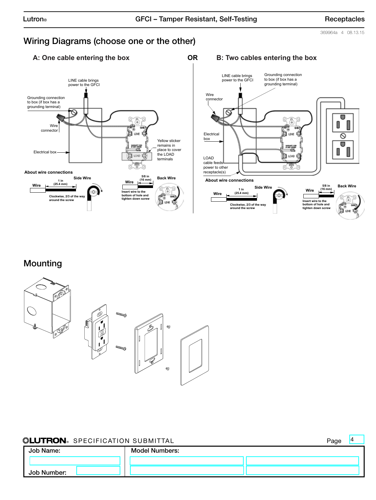4

369964a 4 08.13.15

# Wiring Diagrams (choose one or the other)





# Mounting



## **Seperation Submittal Page (No. 2)** Page (Page )

| WESTINGING OF LOTITOATION OODIWITIAL |                       | . uyu |
|--------------------------------------|-----------------------|-------|
| Job Name:                            | <b>Model Numbers:</b> |       |
|                                      |                       |       |
| Job Number:                          |                       |       |

#### **A: One cable entering the box OR B: Two cables entering the box**